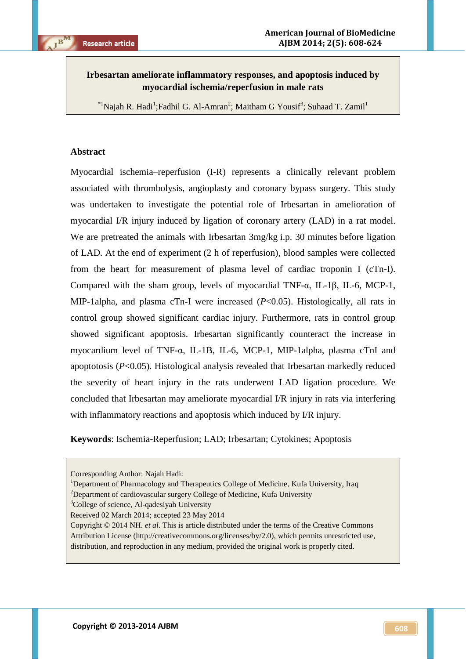# **Irbesartan ameliorate inflammatory responses, and apoptosis induced by myocardial ischemia/reperfusion in male rats**

\*<sup>1</sup>Najah R. Hadi<sup>1</sup>; Fadhil G. Al-Amran<sup>2</sup>; Maitham G Yousif<sup>3</sup>; Suhaad T. Zamil<sup>1</sup>

## **Abstract**

Myocardial ischemia–reperfusion (I-R) represents a clinically relevant problem associated with thrombolysis, angioplasty and coronary bypass surgery. This study was undertaken to investigate the potential role of Irbesartan in amelioration of myocardial I/R injury induced by ligation of coronary artery (LAD) in a rat model. We are pretreated the animals with Irbesartan 3mg/kg i.p. 30 minutes before ligation of LAD. At the end of experiment (2 h of reperfusion), blood samples were collected from the heart for measurement of plasma level of cardiac troponin I (cTn-I). Compared with the sham group, levels of myocardial TNF-α, IL-1β, IL-6, MCP-1, MIP-1alpha, and plasma cTn-I were increased (*P*<0.05). Histologically, all rats in control group showed significant cardiac injury. Furthermore, rats in control group showed significant apoptosis. Irbesartan significantly counteract the increase in myocardium level of TNF-α, IL-1B, IL-6, MCP-1, MIP-1alpha, plasma cTnI and apoptotosis (*P*<0.05). Histological analysis revealed that Irbesartan markedly reduced the severity of heart injury in the rats underwent LAD ligation procedure. We concluded that Irbesartan may ameliorate myocardial I/R injury in rats via interfering with inflammatory reactions and apoptosis which induced by I/R injury.

**Keywords**: Ischemia-Reperfusion; LAD; Irbesartan; Cytokines; Apoptosis

Corresponding Author: Najah Hadi:

<sup>&</sup>lt;sup>1</sup>Department of Pharmacology and Therapeutics College of Medicine, Kufa University, Iraq

 $2$ Department of cardiovascular surgery College of Medicine, Kufa University

<sup>&</sup>lt;sup>3</sup>College of science, Al-qadesiyah University

Received 02 March 2014; accepted 23 May 2014

Copyright © 2014 NH. *et al*. This is article distributed under the terms of the Creative Commons Attribution License (http://creativecommons.org/licenses/by/2.0), which permits unrestricted use, distribution, and reproduction in any medium, provided the original work is properly cited.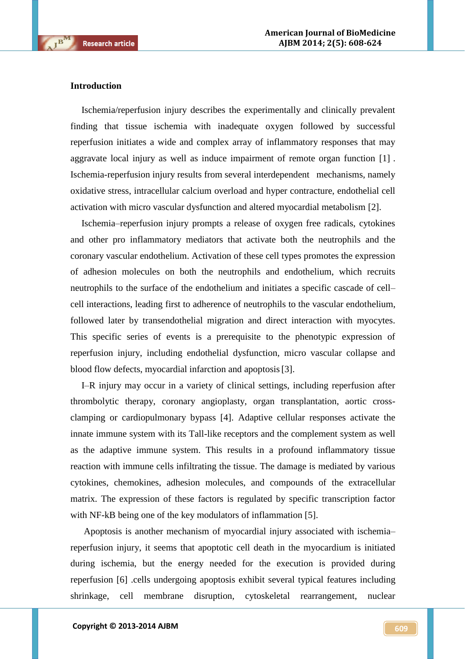#### **Introduction**

 $\mathbf{B}^{\mathbf{M}}$ 

Ischemia/reperfusion injury describes the experimentally and clinically prevalent finding that tissue ischemia with inadequate oxygen followed by successful reperfusion initiates a wide and complex array of inflammatory responses that may aggravate local injury as well as induce impairment of remote organ function [1] . Ischemia-reperfusion injury results from several interdependent mechanisms, namely oxidative stress, intracellular calcium overload and hyper contracture, endothelial cell activation with micro vascular dysfunction and altered myocardial metabolism [2].

Ischemia–reperfusion injury prompts a release of oxygen free radicals, cytokines and other pro inflammatory mediators that activate both the neutrophils and the coronary vascular endothelium. Activation of these cell types promotes the expression of adhesion molecules on both the neutrophils and endothelium, which recruits neutrophils to the surface of the endothelium and initiates a specific cascade of cell– cell interactions, leading first to adherence of neutrophils to the vascular endothelium, followed later by transendothelial migration and direct interaction with myocytes. This specific series of events is a prerequisite to the phenotypic expression of reperfusion injury, including endothelial dysfunction, micro vascular collapse and blood flow defects, myocardial infarction and apoptosis[3].

I–R injury may occur in a variety of clinical settings, including reperfusion after thrombolytic therapy, coronary angioplasty, organ transplantation, aortic crossclamping or cardiopulmonary bypass [4]. Adaptive cellular responses activate the innate immune system with its Tall-like receptors and the complement system as well as the adaptive immune system. This results in a profound inflammatory tissue reaction with immune cells infiltrating the tissue. The damage is mediated by various cytokines, chemokines, adhesion molecules, and compounds of the extracellular matrix. The expression of these factors is regulated by specific transcription factor with NF-kB being one of the key modulators of inflammation [5].

Apoptosis is another mechanism of myocardial injury associated with ischemia– reperfusion injury, it seems that apoptotic cell death in the myocardium is initiated during ischemia, but the energy needed for the execution is provided during reperfusion [6] .cells undergoing apoptosis exhibit several typical features including shrinkage, cell membrane disruption, cytoskeletal rearrangement, nuclear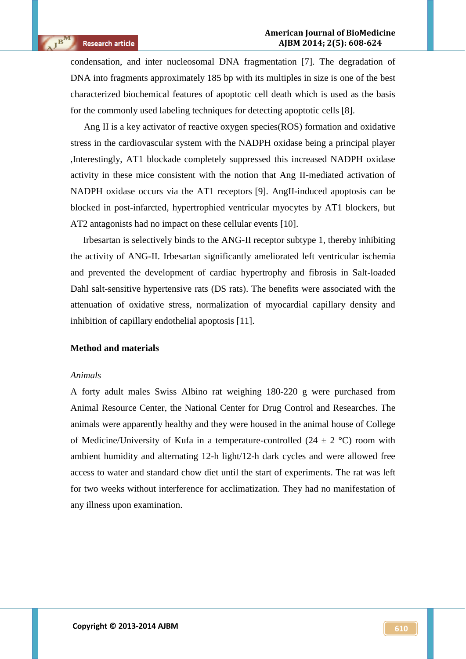condensation, and inter nucleosomal DNA fragmentation [7]. The degradation of DNA into fragments approximately 185 bp with its multiples in size is one of the best characterized biochemical features of apoptotic cell death which is used as the basis for the commonly used labeling techniques for detecting apoptotic cells [8].

Ang II is a key activator of reactive oxygen species(ROS) formation and oxidative stress in the cardiovascular system with the NADPH oxidase being a principal player ,Interestingly, AT1 blockade completely suppressed this increased NADPH oxidase activity in these mice consistent with the notion that Ang II-mediated activation of NADPH oxidase occurs via the AT1 receptors [9]. AngII-induced apoptosis can be blocked in post-infarcted, hypertrophied ventricular myocytes by AT1 blockers, but AT2 antagonists had no impact on these cellular events [10].

Irbesartan is selectively binds to the ANG-II receptor subtype 1, thereby inhibiting the activity of ANG-II. Irbesartan significantly ameliorated left ventricular ischemia and prevented the development of cardiac hypertrophy and fibrosis in Salt-loaded Dahl salt-sensitive hypertensive rats (DS rats). The benefits were associated with the attenuation of oxidative stress, normalization of myocardial capillary density and inhibition of capillary endothelial apoptosis [11].

### **Method and materials**

#### *Animals*

A forty adult males Swiss Albino rat weighing 180-220 g were purchased from Animal Resource Center, the National Center for Drug Control and Researches. The animals were apparently healthy and they were housed in the animal house of College of Medicine/University of Kufa in a temperature-controlled  $(24 \pm 2 \degree C)$  room with ambient humidity and alternating 12-h light/12-h dark cycles and were allowed free access to water and standard chow diet until the start of experiments. The rat was left for two weeks without interference for acclimatization. They had no manifestation of any illness upon examination.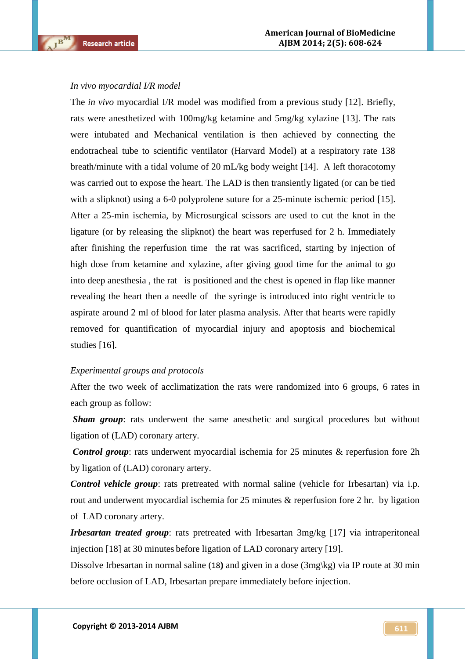$\overline{\mathbf{R}}$ 

#### *In vivo myocardial I/R model*

The *in vivo* myocardial I/R model was modified from a previous study [12]. Briefly, rats were anesthetized with 100mg/kg ketamine and 5mg/kg xylazine [13]. The rats were intubated and Mechanical ventilation is then achieved by connecting the endotracheal tube to scientific ventilator (Harvard Model) at a respiratory rate 138 breath/minute with a tidal volume of 20 mL/kg body weight [14]. A left thoracotomy was carried out to expose the heart. The LAD is then transiently ligated (or can be tied with a slipknot) using a 6-0 polyprolene suture for a 25-minute ischemic period [15]. After a 25-min ischemia, by Microsurgical scissors are used to cut the knot in the ligature (or by releasing the slipknot) the heart was reperfused for 2 h. Immediately after finishing the reperfusion time the rat was sacrificed, starting by injection of high dose from ketamine and xylazine, after giving good time for the animal to go into deep anesthesia , the rat is positioned and the chest is opened in flap like manner revealing the heart then a needle of the syringe is introduced into right ventricle to aspirate around 2 ml of blood for later plasma analysis. After that hearts were rapidly removed for quantification of myocardial injury and apoptosis and biochemical studies [16].

#### *Experimental groups and protocols*

After the two week of acclimatization the rats were randomized into 6 groups, 6 rates in each group as follow:

*Sham group*: rats underwent the same anesthetic and surgical procedures but without ligation of (LAD) coronary artery.

*Control group*: rats underwent myocardial ischemia for 25 minutes & reperfusion fore 2h by ligation of (LAD) coronary artery.

*Control vehicle group*: rats pretreated with normal saline (vehicle for Irbesartan) via i.p. rout and underwent myocardial ischemia for 25 minutes & reperfusion fore 2 hr. by ligation of LAD coronary artery.

*Irbesartan treated group*: rats pretreated with Irbesartan 3mg/kg [17] via intraperitoneal injection [18] at 30 minutes before ligation of LAD coronary artery [19].

Dissolve Irbesartan in normal saline (18**)** and given in a dose (3mg\kg) via IP route at 30 min before occlusion of LAD, Irbesartan prepare immediately before injection.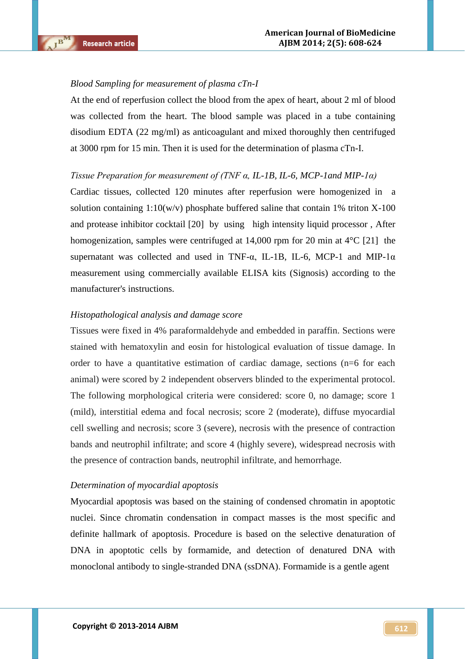#### *Blood Sampling for measurement of plasma cTn-I*

At the end of reperfusion collect the blood from the apex of heart, about 2 ml of blood was collected from the heart. The blood sample was placed in a tube containing disodium EDTA (22 mg/ml) as anticoagulant and mixed thoroughly then centrifuged at 3000 rpm for 15 min. Then it is used for the determination of plasma cTn-I.

#### *Tissue Preparation for measurement of (TNF α, IL-1B, IL-6, MCP-1and MIP-1α)*

Cardiac tissues, collected 120 minutes after reperfusion were homogenized in a solution containing  $1:10(w/v)$  phosphate buffered saline that contain 1% triton X-100 and protease inhibitor cocktail [20] by using high intensity liquid processor , After homogenization, samples were centrifuged at 14,000 rpm for 20 min at 4<sup>o</sup>C [21] the supernatant was collected and used in TNF- $\alpha$ , IL-1B, IL-6, MCP-1 and MIP-1 $\alpha$ measurement using commercially available ELISA kits (Signosis) according to the manufacturer's instructions.

#### *Histopathological analysis and damage score*

Tissues were fixed in 4% paraformaldehyde and embedded in paraffin. Sections were stained with hematoxylin and eosin for histological evaluation of tissue damage. In order to have a quantitative estimation of cardiac damage, sections (n=6 for each animal) were scored by 2 independent observers blinded to the experimental protocol. The following morphological criteria were considered: score 0, no damage; score 1 (mild), interstitial edema and focal necrosis; score 2 (moderate), diffuse myocardial cell swelling and necrosis; score 3 (severe), necrosis with the presence of contraction bands and neutrophil infiltrate; and score 4 (highly severe), widespread necrosis with the presence of contraction bands, neutrophil infiltrate, and hemorrhage.

#### *Determination of myocardial apoptosis*

Myocardial apoptosis was based on the staining of condensed chromatin in apoptotic nuclei. Since chromatin condensation in compact masses is the most specific and definite hallmark of apoptosis. Procedure is based on the selective denaturation of DNA in apoptotic cells by formamide, and detection of denatured DNA with monoclonal antibody to single-stranded DNA (ssDNA). Formamide is a gentle agent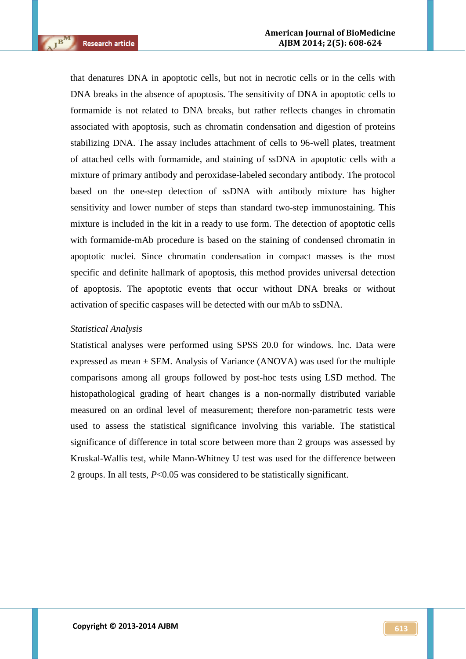$\mathbf{B}^{\mathbf{M}}$ 

that denatures DNA in apoptotic cells, but not in necrotic cells or in the cells with DNA breaks in the absence of apoptosis. The sensitivity of DNA in apoptotic cells to formamide is not related to DNA breaks, but rather reflects changes in chromatin associated with apoptosis, such as chromatin condensation and digestion of proteins stabilizing DNA. The assay includes attachment of cells to 96-well plates, treatment of attached cells with formamide, and staining of ssDNA in apoptotic cells with a mixture of primary antibody and peroxidase-labeled secondary antibody. The protocol based on the one-step detection of ssDNA with antibody mixture has higher sensitivity and lower number of steps than standard two-step immunostaining. This mixture is included in the kit in a ready to use form. The detection of apoptotic cells with formamide-mAb procedure is based on the staining of condensed chromatin in apoptotic nuclei. Since chromatin condensation in compact masses is the most specific and definite hallmark of apoptosis, this method provides universal detection of apoptosis. The apoptotic events that occur without DNA breaks or without activation of specific caspases will be detected with our mAb to ssDNA.

#### *Statistical Analysis*

Statistical analyses were performed using SPSS 20.0 for windows. lnc. Data were expressed as mean  $\pm$  SEM. Analysis of Variance (ANOVA) was used for the multiple comparisons among all groups followed by post-hoc tests using LSD method. The histopathological grading of heart changes is a non-normally distributed variable measured on an ordinal level of measurement; therefore non-parametric tests were used to assess the statistical significance involving this variable. The statistical significance of difference in total score between more than 2 groups was assessed by Kruskal-Wallis test, while Mann-Whitney U test was used for the difference between 2 groups. In all tests, *P*<0.05 was considered to be statistically significant.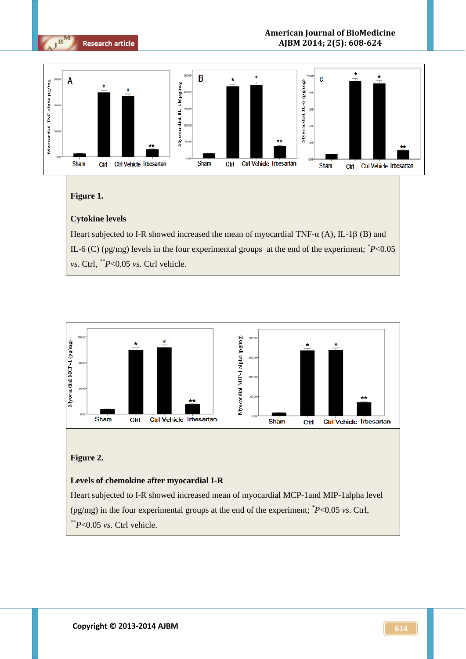

### **Figure 1.**

## **Cytokine levels**

Heart subjected to I-R showed increased the mean of myocardial TNF- $\alpha$  (A), IL-1 $\beta$  (B) and IL-6 (C) (pg/mg) levels in the four experimental groups at the end of the experiment; *\*P*<0.05 *vs*. Ctrl, *\*\*P*<0.05 *vs*. Ctrl vehicle.



# **Figure 2.**

#### **Levels of chemokine after myocardial I-R**

Heart subjected to I-R showed increased mean of myocardial MCP-1and MIP-1alpha level (pg/mg) in the four experimental groups at the end of the experiment; *\*P*<0.05 *vs*. Ctrl, *\*\*P*<0.05 *vs*. Ctrl vehicle.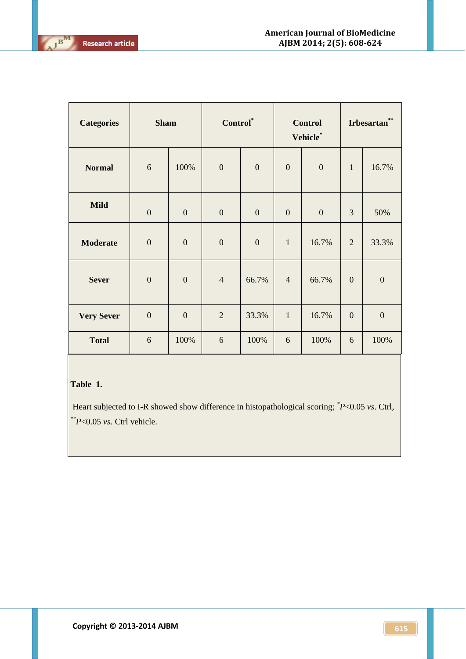| <b>Categories</b> | <b>Sham</b>      |                  | Control <sup>*</sup> |                  | <b>Control</b><br>Vehicle* |                  | $\star$ $\star$<br><b>Irbesartan</b> |                  |
|-------------------|------------------|------------------|----------------------|------------------|----------------------------|------------------|--------------------------------------|------------------|
| <b>Normal</b>     | 6                | 100%             | $\mathbf{0}$         | $\boldsymbol{0}$ | $\boldsymbol{0}$           | $\boldsymbol{0}$ | $\mathbf{1}$                         | 16.7%            |
| <b>Mild</b>       | $\boldsymbol{0}$ | $\boldsymbol{0}$ | $\boldsymbol{0}$     | $\boldsymbol{0}$ | $\boldsymbol{0}$           | $\overline{0}$   | 3                                    | 50%              |
| <b>Moderate</b>   | $\boldsymbol{0}$ | $\overline{0}$   | $\mathbf{0}$         | $\overline{0}$   | $\mathbf{1}$               | 16.7%            | $\overline{2}$                       | 33.3%            |
| <b>Sever</b>      | $\boldsymbol{0}$ | $\boldsymbol{0}$ | $\overline{4}$       | 66.7%            | $\overline{4}$             | 66.7%            | $\mathbf{0}$                         | $\boldsymbol{0}$ |
| <b>Very Sever</b> | $\boldsymbol{0}$ | $\boldsymbol{0}$ | $\overline{2}$       | 33.3%            | $\mathbf{1}$               | 16.7%            | $\mathbf{0}$                         | $\boldsymbol{0}$ |
| <b>Total</b>      | 6                | 100%             | 6                    | 100%             | 6                          | 100%             | 6                                    | 100%             |

# **Table 1.**

Heart subjected to I-R showed show difference in histopathological scoring; *\*P*<0.05 *vs*. Ctrl, *\*\*P*<0.05 *vs*. Ctrl vehicle.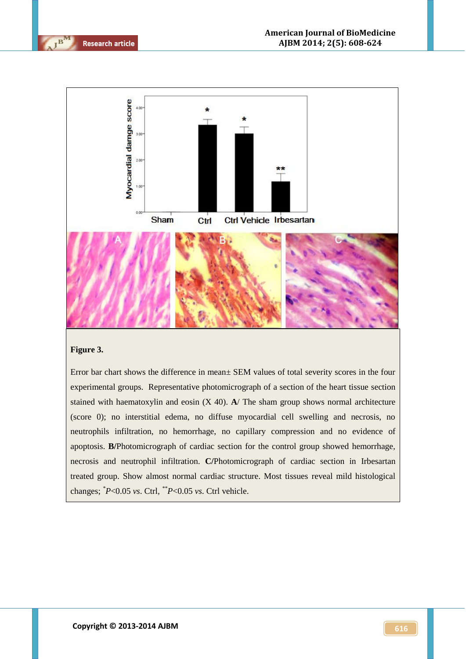

 $\overline{\mathbf{R}}$ 



#### **Figure 3.**

Error bar chart shows the difference in mean± SEM values of total severity scores in the four experimental groups. Representative photomicrograph of a section of the heart tissue section stained with haematoxylin and eosin (X 40). **A**/ The sham group shows normal architecture (score 0); no interstitial edema, no diffuse myocardial cell swelling and necrosis, no neutrophils infiltration, no hemorrhage, no capillary compression and no evidence of apoptosis. **B/**Photomicrograph of cardiac section for the control group showed hemorrhage, necrosis and neutrophil infiltration. **C/**Photomicrograph of cardiac section in Irbesartan treated group. Show almost normal cardiac structure. Most tissues reveal mild histological changes; *\*P*<0.05 *vs*. Ctrl, *\*\*P*<0.05 *vs*. Ctrl vehicle.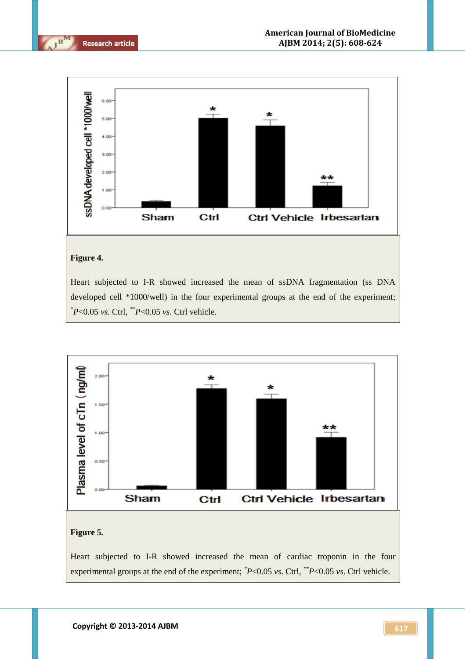



## **Figure 4.**

Heart subjected to I-R showed increased the mean of ssDNA fragmentation (ss DNA developed cell \*1000/well) in the four experimental groups at the end of the experiment; *\*P*<0.05 *vs*. Ctrl, *\*\*P*<0.05 *vs*. Ctrl vehicle.

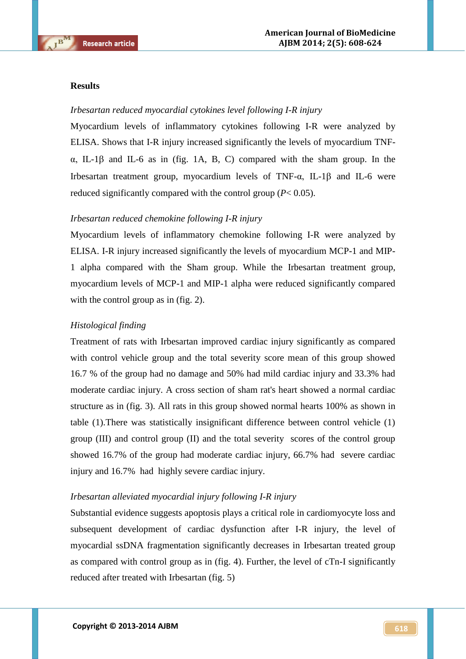#### **Results**

#### *Irbesartan reduced myocardial cytokines level following I-R injury*

Myocardium levels of inflammatory cytokines following I-R were analyzed by ELISA. Shows that I-R injury increased significantly the levels of myocardium TNF- $\alpha$ , IL-1 $\beta$  and IL-6 as in (fig. 1A, B, C) compared with the sham group. In the Irbesartan treatment group, myocardium levels of TNF- $\alpha$ , IL-1 $\beta$  and IL-6 were reduced significantly compared with the control group (*P*< 0.05).

## *Irbesartan reduced chemokine following I-R injury*

Myocardium levels of inflammatory chemokine following I-R were analyzed by ELISA. I-R injury increased significantly the levels of myocardium MCP-1 and MIP-1 alpha compared with the Sham group. While the Irbesartan treatment group, myocardium levels of MCP-1 and MIP-1 alpha were reduced significantly compared with the control group as in (fig. 2).

#### *Histological finding*

Treatment of rats with Irbesartan improved cardiac injury significantly as compared with control vehicle group and the total severity score mean of this group showed 16.7 % of the group had no damage and 50% had mild cardiac injury and 33.3% had moderate cardiac injury. A cross section of sham rat's heart showed a normal cardiac structure as in (fig. 3). All rats in this group showed normal hearts 100% as shown in table (1).There was statistically insignificant difference between control vehicle (1) group (III) and control group (II) and the total severity scores of the control group showed 16.7% of the group had moderate cardiac injury, 66.7% had severe cardiac injury and 16.7% had highly severe cardiac injury.

### *Irbesartan alleviated myocardial injury following I-R injury*

Substantial evidence suggests apoptosis plays a critical role in cardiomyocyte loss and subsequent development of cardiac dysfunction after I-R injury, the level of myocardial ssDNA fragmentation significantly decreases in Irbesartan treated group as compared with control group as in (fig. 4). Further, the level of cTn-I significantly reduced after treated with Irbesartan (fig. 5)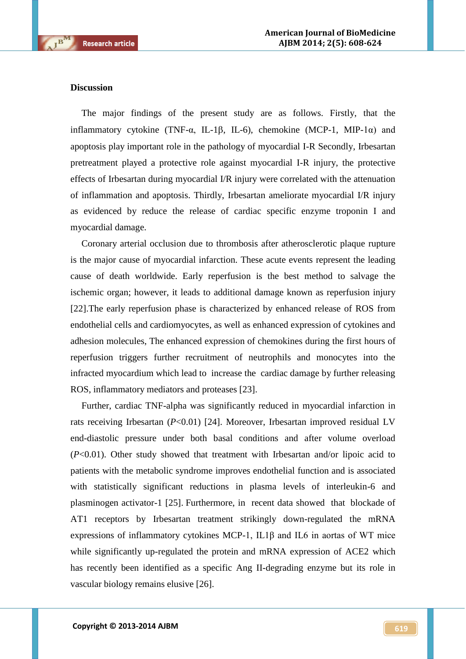#### **Discussion**

 $\mathbf{B}^{\mathbf{M}}$ 

The major findings of the present study are as follows. Firstly, that the inflammatory cytokine (TNF- $\alpha$ , IL-1 $\beta$ , IL-6), chemokine (MCP-1, MIP-1 $\alpha$ ) and apoptosis play important role in the pathology of myocardial I-R Secondly, Irbesartan pretreatment played a protective role against myocardial I-R injury, the protective effects of Irbesartan during myocardial I/R injury were correlated with the attenuation of inflammation and apoptosis. Thirdly, Irbesartan ameliorate myocardial I/R injury as evidenced by reduce the release of cardiac specific enzyme troponin I and myocardial damage.

Coronary arterial occlusion due to thrombosis after atherosclerotic plaque rupture is the major cause of myocardial infarction. These acute events represent the leading cause of death worldwide. Early reperfusion is the best method to salvage the ischemic organ; however, it leads to additional damage known as reperfusion injury [22].The early reperfusion phase is characterized by enhanced release of ROS from endothelial cells and cardiomyocytes, as well as enhanced expression of cytokines and adhesion molecules, The enhanced expression of chemokines during the first hours of reperfusion triggers further recruitment of neutrophils and monocytes into the infracted myocardium which lead to increase the cardiac damage by further releasing ROS, inflammatory mediators and proteases [23].

Further, cardiac TNF-alpha was significantly reduced in myocardial infarction in rats receiving Irbesartan (*P*<0.01) [24]. Moreover, Irbesartan improved residual LV end-diastolic pressure under both basal conditions and after volume overload (*P*<0.01). Other study showed that treatment with Irbesartan and/or lipoic acid to patients with the metabolic syndrome improves endothelial function and is associated with statistically significant reductions in plasma levels of interleukin-6 and plasminogen activator-1 [25]. Furthermore, [in](http://www.ncbi.nlm.nih.gov/pubmed?term=Jin%20HY%5BAuthor%5D&cauthor=true&cauthor_uid=22693641) recent data showed that blockade of AT1 receptors by Irbesartan treatment strikingly down-regulated the mRNA expressions of inflammatory cytokines MCP-1, IL1β and IL6 in aortas of WT mice while significantly up-regulated the protein and mRNA expression of ACE2 which has recently been identified as a specific Ang II-degrading enzyme but its role in vascular biology remains elusive [26].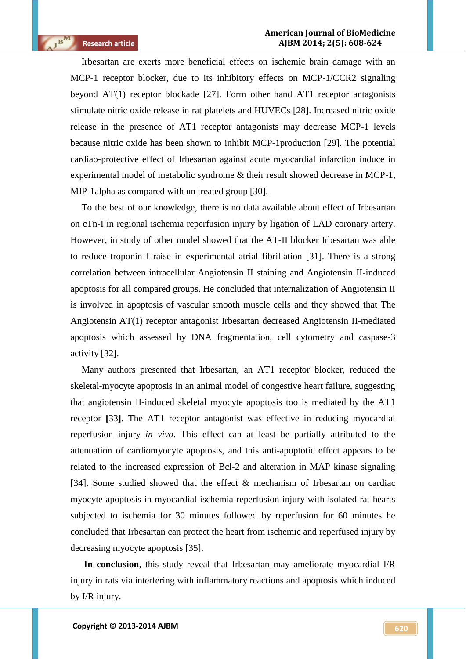Irbesartan are exerts more beneficial effects on ischemic brain damage with an MCP-1 receptor blocker, due to its inhibitory effects on MCP-1/CCR2 signaling beyond AT(1) receptor blockade [27]. Form other hand AT1 receptor antagonists stimulate nitric oxide release in rat platelets and HUVECs [28]. Increased nitric oxide release in the presence of AT1 receptor antagonists may decrease MCP-1 levels because nitric oxide has been shown to inhibit MCP-1production [29]. The potential cardiao-protective effect of Irbesartan against acute myocardial infarction induce in experimental model of metabolic syndrome & their result showed decrease in MCP-1, MIP-1alpha as compared with un treated group [30].

To the best of our knowledge, there is no data available about effect of Irbesartan on cTn-I in regional ischemia reperfusion injury by ligation of LAD coronary artery. However, in study of other model showed that the AT-II blocker Irbesartan was able to reduce troponin I raise in experimental atrial fibrillation [31]. There is a strong correlation between intracellular Angiotensin II staining and Angiotensin II-induced apoptosis for all compared groups. He concluded that internalization of Angiotensin II is involved in apoptosis of vascular smooth muscle cells and they showed that The Angiotensin AT(1) receptor antagonist Irbesartan decreased Angiotensin II-mediated apoptosis which assessed by DNA fragmentation, cell cytometry and caspase-3 activity [32].

Many authors presented that Irbesartan, an AT1 receptor blocker, reduced the skeletal-myocyte apoptosis in an animal model of congestive heart failure, suggesting that angiotensin II-induced skeletal myocyte apoptosis too is mediated by the AT1 receptor **[**33**]**. The AT1 receptor antagonist was effective in reducing myocardial reperfusion injury *in vivo*. This effect can at least be partially attributed to the attenuation of cardiomyocyte apoptosis, and this anti-apoptotic effect appears to be related to the increased expression of Bcl-2 and alteration in MAP kinase signaling [34]. Some studied showed that the effect & mechanism of Irbesartan on cardiac myocyte apoptosis in myocardial ischemia reperfusion injury with isolated rat hearts subjected to ischemia for 30 minutes followed by reperfusion for 60 minutes he concluded that Irbesartan can protect the heart from ischemic and reperfused injury by decreasing myocyte apoptosis [35].

**In conclusion**, this study reveal that Irbesartan may ameliorate myocardial I/R injury in rats via interfering with inflammatory reactions and apoptosis which induced by I/R injury.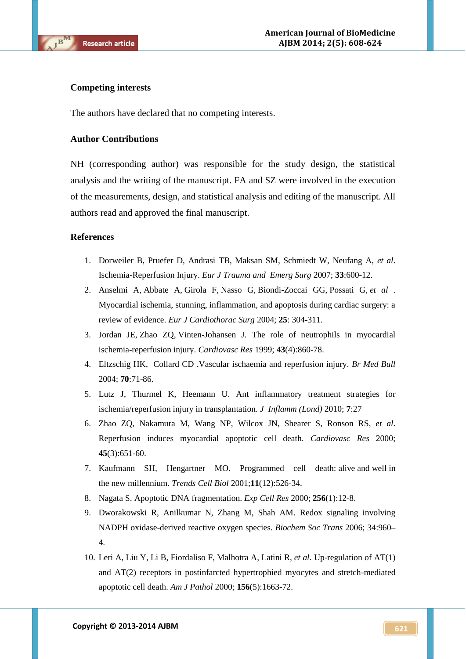#### **Competing interests**

The authors have declared that no competing interests.

#### **Author Contributions**

NH (corresponding author) was responsible for the study design, the statistical analysis and the writing of the manuscript. FA and SZ were involved in the execution of the measurements, design, and statistical analysis and editing of the manuscript. All authors read and approved the final manuscript.

#### **References**

- 1. Dorweiler B, Pruefer D, Andrasi TB, Maksan SM, Schmiedt W, Neufang A, *et al*. Ischemia-Reperfusion Injury. *Eur J Trauma and Emerg Surg* 2007; **33**:600-12.
- 2. [Anselmi](http://www.ncbi.nlm.nih.gov/pubmed?term=Anselmi%20A%5BAuthor%5D&cauthor=true&cauthor_uid=15019653) A, [Abbate](http://www.ncbi.nlm.nih.gov/pubmed?term=Abbate%20A%5BAuthor%5D&cauthor=true&cauthor_uid=15019653) A, [Girola](http://www.ncbi.nlm.nih.gov/pubmed?term=Girola%20F%5BAuthor%5D&cauthor=true&cauthor_uid=15019653) F, [Nasso](http://www.ncbi.nlm.nih.gov/pubmed?term=Nasso%20G%5BAuthor%5D&cauthor=true&cauthor_uid=15019653) G, [Biondi-Zoccai](http://www.ncbi.nlm.nih.gov/pubmed?term=Biondi-Zoccai%20GG%5BAuthor%5D&cauthor=true&cauthor_uid=15019653) GG, [Possati](http://www.ncbi.nlm.nih.gov/pubmed?term=Possati%20G%5BAuthor%5D&cauthor=true&cauthor_uid=15019653) G, *et al* . Myocardial ischemia, stunning, inflammation, and apoptosis during cardiac surgery: a review of evidence. *Eur J Cardiothorac Surg* 2004; **25**: 304-311.
- 3. [Jordan](http://www.ncbi.nlm.nih.gov/pubmed?term=Jordan%20JE%5BAuthor%5D&cauthor=true&cauthor_uid=10615413) JE, [Zhao](http://www.ncbi.nlm.nih.gov/pubmed?term=Zhao%20ZQ%5BAuthor%5D&cauthor=true&cauthor_uid=10615413) ZQ, [Vinten-Johansen](http://www.ncbi.nlm.nih.gov/pubmed?term=Vinten-Johansen%20J%5BAuthor%5D&cauthor=true&cauthor_uid=10615413) J. The role of neutrophils in myocardial ischemia-reperfusion injury. *[Cardiovasc](http://www.ncbi.nlm.nih.gov/pubmed/10615413) Res* 1999; **43**(4):860-78.
- 4. [Eltzschig HK,](http://www.ncbi.nlm.nih.gov/pubmed?term=Eltzschig%20HK%5BAuthor%5D&cauthor=true&cauthor_uid=15494470) [Collard CD](http://www.ncbi.nlm.nih.gov/pubmed?term=Collard%20CD%5BAuthor%5D&cauthor=true&cauthor_uid=15494470) .Vascular ischaemia and reperfusion injury. *[Br Med Bull](http://www.ncbi.nlm.nih.gov/pubmed/?term=-Holger+K.+Eltzschig+%2C+Charles+D.+Collard.Vascular+ischaemia+and+reperfusion+injury.)* 2004; **70**:71-86.
- 5. Lutz J, Thurmel K, Heemann U. Ant inflammatory treatment strategies for ischemia/reperfusion injury in transplantation. *J Inflamm (Lond)* 2010; **7**:27
- 6. [Zhao ZQ,](http://www.ncbi.nlm.nih.gov/pubmed?term=Zhao%20ZQ%5BAuthor%5D&cauthor=true&cauthor_uid=10728386) [Nakamura M,](http://www.ncbi.nlm.nih.gov/pubmed?term=Nakamura%20M%5BAuthor%5D&cauthor=true&cauthor_uid=10728386) [Wang NP,](http://www.ncbi.nlm.nih.gov/pubmed?term=Wang%20NP%5BAuthor%5D&cauthor=true&cauthor_uid=10728386) [Wilcox JN,](http://www.ncbi.nlm.nih.gov/pubmed?term=Wilcox%20JN%5BAuthor%5D&cauthor=true&cauthor_uid=10728386) [Shearer S,](http://www.ncbi.nlm.nih.gov/pubmed?term=Shearer%20S%5BAuthor%5D&cauthor=true&cauthor_uid=10728386) [Ronson RS,](http://www.ncbi.nlm.nih.gov/pubmed?term=Ronson%20RS%5BAuthor%5D&cauthor=true&cauthor_uid=10728386) *et al*. Reperfusion induces myocardial apoptotic cell death. *[Cardiovasc Res](http://www.ncbi.nlm.nih.gov/pubmed?term=Reperfusion%20induces%20myocardial%20apoptotic%20cell%20deathZhao%20ZQ%2C%20Nakamura%20M%2C%20Wang%20NP%2C%20Wilcox%20JN)* 2000; **45**(3):651-60.
- 7. [Kaufmann](http://www.ncbi.nlm.nih.gov/pubmed?term=Kaufmann%20SH%5BAuthor%5D&cauthor=true&cauthor_uid=11719060) SH, [Hengartner MO.](http://www.ncbi.nlm.nih.gov/pubmed?term=Hengartner%20MO%5BAuthor%5D&cauthor=true&cauthor_uid=11719060) Programmed cell death: alive and well in the new millennium. *[Trends](http://www.ncbi.nlm.nih.gov/pubmed?term=Kaufmann%20SH%20and%20Hengartner%20MO%20Programmed%20cell%20death%3A%20alive%20and%20well%20in%20the%20new%20millennium) Cell Biol* 2001;**11**(12):526-34.
- 8. [Nagata S.](http://www.ncbi.nlm.nih.gov/pubmed?term=Nagata%20S%5BAuthor%5D&cauthor=true&cauthor_uid=10739646) Apoptotic DNA fragmentation. *[Exp Cell Res](http://www.ncbi.nlm.nih.gov/pubmed/10739646)* 2000; **256**(1):12-8.
- 9. Dworakowski R, Anilkumar N, Zhang M, Shah AM. Redox signaling involving NADPH oxidase-derived reactive oxygen species. *Biochem Soc Trans* 2006; 34:960– 4.
- 10. [Leri A,](http://www.ncbi.nlm.nih.gov/pubmed?term=Leri%20A%5BAuthor%5D&cauthor=true&cauthor_uid=10793077) [Liu Y,](http://www.ncbi.nlm.nih.gov/pubmed?term=Liu%20Y%5BAuthor%5D&cauthor=true&cauthor_uid=10793077) [Li B,](http://www.ncbi.nlm.nih.gov/pubmed?term=Li%20B%5BAuthor%5D&cauthor=true&cauthor_uid=10793077) [Fiordaliso F,](http://www.ncbi.nlm.nih.gov/pubmed?term=Fiordaliso%20F%5BAuthor%5D&cauthor=true&cauthor_uid=10793077) [Malhotra A,](http://www.ncbi.nlm.nih.gov/pubmed?term=Malhotra%20A%5BAuthor%5D&cauthor=true&cauthor_uid=10793077) [Latini R,](http://www.ncbi.nlm.nih.gov/pubmed?term=Latini%20R%5BAuthor%5D&cauthor=true&cauthor_uid=10793077) *et al*. Up-regulation of AT(1) and AT(2) receptors in postinfarcted hypertrophied myocytes and stretch-mediated apoptotic cell death. *[Am J Pathol](http://www.ncbi.nlm.nih.gov/pubmed?term=Up-regulation%20of%20AT1%20and%20AT2%20receptors%20in%20%20%20%20%20%20%20post-infarcted%20hypertrophied%20myocytes%20and%20stretched-mediated%20apoptotic%20%20%20%20%20%20%20%20%20%20%20%20cell%20death)* 2000; **156**(5):1663-72.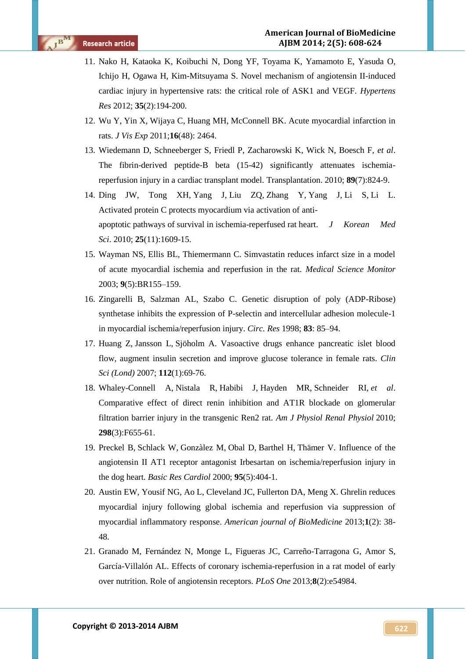- 11. [Nako H,](http://www.ncbi.nlm.nih.gov/pubmed?term=Nako%20H%5BAuthor%5D&cauthor=true&cauthor_uid=22089532) [Kataoka K,](http://www.ncbi.nlm.nih.gov/pubmed?term=Kataoka%20K%5BAuthor%5D&cauthor=true&cauthor_uid=22089532) [Koibuchi N,](http://www.ncbi.nlm.nih.gov/pubmed?term=Koibuchi%20N%5BAuthor%5D&cauthor=true&cauthor_uid=22089532) [Dong YF,](http://www.ncbi.nlm.nih.gov/pubmed?term=Dong%20YF%5BAuthor%5D&cauthor=true&cauthor_uid=22089532) [Toyama K,](http://www.ncbi.nlm.nih.gov/pubmed?term=Toyama%20K%5BAuthor%5D&cauthor=true&cauthor_uid=22089532) [Yamamoto E,](http://www.ncbi.nlm.nih.gov/pubmed?term=Yamamoto%20E%5BAuthor%5D&cauthor=true&cauthor_uid=22089532) [Yasuda O,](http://www.ncbi.nlm.nih.gov/pubmed?term=Yasuda%20O%5BAuthor%5D&cauthor=true&cauthor_uid=22089532) [Ichijo H,](http://www.ncbi.nlm.nih.gov/pubmed?term=Ichijo%20H%5BAuthor%5D&cauthor=true&cauthor_uid=22089532) [Ogawa H,](http://www.ncbi.nlm.nih.gov/pubmed?term=Ogawa%20H%5BAuthor%5D&cauthor=true&cauthor_uid=22089532) [Kim-Mitsuyama S.](http://www.ncbi.nlm.nih.gov/pubmed?term=Kim-Mitsuyama%20S%5BAuthor%5D&cauthor=true&cauthor_uid=22089532) Novel mechanism of angiotensin II-induced cardiac injury in hypertensive rats: the critical role of ASK1 and VEGF. *[Hypertens](http://www.ncbi.nlm.nih.gov/pubmed/22089532)  [Res](http://www.ncbi.nlm.nih.gov/pubmed/22089532)* 2012; **35**(2):194-200.
- 12. [Wu Y,](http://www.ncbi.nlm.nih.gov/pubmed?term=Wu%20Y%5BAuthor%5D&cauthor=true&cauthor_uid=21372786) [Yin X,](http://www.ncbi.nlm.nih.gov/pubmed?term=Yin%20X%5BAuthor%5D&cauthor=true&cauthor_uid=21372786) [Wijaya C,](http://www.ncbi.nlm.nih.gov/pubmed?term=Wijaya%20C%5BAuthor%5D&cauthor=true&cauthor_uid=21372786) [Huang MH,](http://www.ncbi.nlm.nih.gov/pubmed?term=Huang%20MH%5BAuthor%5D&cauthor=true&cauthor_uid=21372786) [McConnell BK.](http://www.ncbi.nlm.nih.gov/pubmed?term=McConnell%20BK%5BAuthor%5D&cauthor=true&cauthor_uid=21372786) Acute myocardial infarction in rats. *[J Vis Exp](http://www.ncbi.nlm.nih.gov/pubmed/?term=Wu%2C+Y.%2C+Yin%2C+X.%2C+Wijaya%2C+C.%2C+Huang%2C+M.%2C+McConnell%2C+B.+K.+Acute+Myocardial+Infarction+in+Rats.)* 2011;**16**(48): 2464.
- 13. Wiedemann D, Schneeberger S, Friedl P, Zacharowski K, Wick N, Boesch F, *et al*. The fibrin-derived peptide-B beta (15-42) significantly attenuates ischemiareperfusion injury in a cardiac transplant model. Transplantation. 2010; **89**(7):824-9.
- 14. Ding JW, [Tong XH,](http://www.ncbi.nlm.nih.gov/pubmed?term=Tong%20XH%5BAuthor%5D&cauthor=true&cauthor_uid=21060750) [Yang J,](http://www.ncbi.nlm.nih.gov/pubmed?term=Yang%20J%5BAuthor%5D&cauthor=true&cauthor_uid=21060750) [Liu ZQ,](http://www.ncbi.nlm.nih.gov/pubmed?term=Liu%20ZQ%5BAuthor%5D&cauthor=true&cauthor_uid=21060750) [Zhang Y,](http://www.ncbi.nlm.nih.gov/pubmed?term=Zhang%20Y%5BAuthor%5D&cauthor=true&cauthor_uid=21060750) [Yang J,](http://www.ncbi.nlm.nih.gov/pubmed?term=Yang%20J%5BAuthor%5D&cauthor=true&cauthor_uid=21060750) [Li S,](http://www.ncbi.nlm.nih.gov/pubmed?term=Li%20S%5BAuthor%5D&cauthor=true&cauthor_uid=21060750) [Li L.](http://www.ncbi.nlm.nih.gov/pubmed?term=Li%20L%5BAuthor%5D&cauthor=true&cauthor_uid=21060750) Activated protein C protects myocardium via activation of antiapoptotic pathways of survival in ischemia-reperfused rat heart. *[J Korean Med](http://www.ncbi.nlm.nih.gov/pubmed/?term=Activated+Protein+C+Protects+Myocardium+Via+Activation+of+Anti-apoptotic+Pathways+of+Survival+in+Ischemia-reperfused+Rat+Heart.)  [Sci](http://www.ncbi.nlm.nih.gov/pubmed/?term=Activated+Protein+C+Protects+Myocardium+Via+Activation+of+Anti-apoptotic+Pathways+of+Survival+in+Ischemia-reperfused+Rat+Heart.)*. 2010; **25**(11):1609-15.
- 15. Wayman NS, Ellis BL, Thiemermann C. Simvastatin reduces infarct size in a model of acute myocardial ischemia and reperfusion in the rat. *Medical Science Monitor* 2003; **9**(5):BR155–159.
- 16. Zingarelli B, Salzman AL, Szabo C. Genetic disruption of poly (ADP-Ribose) synthetase inhibits the expression of P-selectin and intercellular adhesion molecule-1 in myocardial ischemia/reperfusion injury. *Circ. Res* 1998; **83**: 85–94.
- 17. [Huang Z,](http://www.ncbi.nlm.nih.gov/pubmed?term=Huang%20Z%5BAuthor%5D&cauthor=true&cauthor_uid=17020539) [Jansson L,](http://www.ncbi.nlm.nih.gov/pubmed?term=Jansson%20L%5BAuthor%5D&cauthor=true&cauthor_uid=17020539) [Sjöholm A.](http://www.ncbi.nlm.nih.gov/pubmed?term=Sj%C3%B6holm%20A%5BAuthor%5D&cauthor=true&cauthor_uid=17020539) Vasoactive drugs enhance pancreatic islet blood flow, augment insulin secretion and improve glucose tolerance in female rats. *[Clin](http://www.ncbi.nlm.nih.gov/pubmed/?term=Zhen+HUANG%2C+Leif+JANSSON+and+_+Ake+SJ+%C2%A8OHOLM.Vasoactive+drugs+enhance+pancreatic+islet+blood+flow%2C+augment+insulin+secretion+and+improve+glucose+tolerance+in+female+rats)  [Sci \(Lond\)](http://www.ncbi.nlm.nih.gov/pubmed/?term=Zhen+HUANG%2C+Leif+JANSSON+and+_+Ake+SJ+%C2%A8OHOLM.Vasoactive+drugs+enhance+pancreatic+islet+blood+flow%2C+augment+insulin+secretion+and+improve+glucose+tolerance+in+female+rats)* 2007; **112**(1):69-76.
- 18. [Whaley-Connell A,](http://www.ncbi.nlm.nih.gov/pubmed?term=Whaley-Connell%20A%5BAuthor%5D&cauthor=true&cauthor_uid=20007350) [Nistala R,](http://www.ncbi.nlm.nih.gov/pubmed?term=Nistala%20R%5BAuthor%5D&cauthor=true&cauthor_uid=20007350) [Habibi J,](http://www.ncbi.nlm.nih.gov/pubmed?term=Habibi%20J%5BAuthor%5D&cauthor=true&cauthor_uid=20007350) [Hayden MR,](http://www.ncbi.nlm.nih.gov/pubmed?term=Hayden%20MR%5BAuthor%5D&cauthor=true&cauthor_uid=20007350) [Schneider RI,](http://www.ncbi.nlm.nih.gov/pubmed?term=Schneider%20RI%5BAuthor%5D&cauthor=true&cauthor_uid=20007350) *et al*. Comparative effect of direct renin inhibition and AT1R blockade on glomerular filtration barrier injury in the transgenic Ren2 rat. *[Am J Physiol Renal Physiol](http://www.ncbi.nlm.nih.gov/pubmed/?term=Adam+Whaley-Connell%2C+Ravi+Nistala%2C+Javad+Habibi%2C+Melvin+R.+Hayden%2C+Rebecca+I.+Schneider%2C+Megan+S.+Johnson%2C+Roger+Tilmon%2C+Nathan+Rehmer%2C+Carlos+M.+Ferrarioand+James+R.+Sowers)* 2010; **298**(3):F655-61.
- 19. [Preckel B,](http://www.ncbi.nlm.nih.gov/pubmed?term=Preckel%20B%5BAuthor%5D&cauthor=true&cauthor_uid=11099168) [Schlack W,](http://www.ncbi.nlm.nih.gov/pubmed?term=Schlack%20W%5BAuthor%5D&cauthor=true&cauthor_uid=11099168) [Gonzàlez M,](http://www.ncbi.nlm.nih.gov/pubmed?term=Gonz%C3%A0lez%20M%5BAuthor%5D&cauthor=true&cauthor_uid=11099168) [Obal D,](http://www.ncbi.nlm.nih.gov/pubmed?term=Obal%20D%5BAuthor%5D&cauthor=true&cauthor_uid=11099168) [Barthel H,](http://www.ncbi.nlm.nih.gov/pubmed?term=Barthel%20H%5BAuthor%5D&cauthor=true&cauthor_uid=11099168) [Thämer V.](http://www.ncbi.nlm.nih.gov/pubmed?term=Th%C3%A4mer%20V%5BAuthor%5D&cauthor=true&cauthor_uid=11099168) Influence of the angiotensin II AT1 receptor antagonist Irbesartan on ischemia/reperfusion injury in the dog heart. *[Basic Res Cardiol](http://www.ncbi.nlm.nih.gov/pubmed/?term=Benedikt+Preckel%2C+Wolfgang+Schlack+%2CMichael+Gonz%C3%A0lez+%2CDetlef+Obal+%2CHolger+Barthel%2C+Volker+Th%C3%A4mer.+Influence+of+the+angiotensin+II+AT1+receptor+antagonist+irbesartan+on+ischemia+%2F+reperfusion+injury+in+the+dog+heart)* 2000; **95**(5):404-1.
- 20. Austin EW, Yousif NG, Ao L, Cleveland JC, Fullerton DA, Meng X. Ghrelin reduces myocardial injury following global ischemia and reperfusion via suppression of myocardial inflammatory response. *American journal of BioMedicine* 2013;**1**(2): 38- 48.
- 21. [Granado M,](http://www.ncbi.nlm.nih.gov/pubmed?term=Granado%20M%5BAuthor%5D&cauthor=true&cauthor_uid=23383303) [Fernández N,](http://www.ncbi.nlm.nih.gov/pubmed?term=Fern%C3%A1ndez%20N%5BAuthor%5D&cauthor=true&cauthor_uid=23383303) [Monge L,](http://www.ncbi.nlm.nih.gov/pubmed?term=Monge%20L%5BAuthor%5D&cauthor=true&cauthor_uid=23383303) [Figueras JC,](http://www.ncbi.nlm.nih.gov/pubmed?term=Figueras%20JC%5BAuthor%5D&cauthor=true&cauthor_uid=23383303) [Carreño-Tarragona G,](http://www.ncbi.nlm.nih.gov/pubmed?term=Carre%C3%B1o-Tarragona%20G%5BAuthor%5D&cauthor=true&cauthor_uid=23383303) [Amor S,](http://www.ncbi.nlm.nih.gov/pubmed?term=Amor%20S%5BAuthor%5D&cauthor=true&cauthor_uid=23383303) [García-Villalón AL.](http://www.ncbi.nlm.nih.gov/pubmed?term=Garc%C3%ADa-Villal%C3%B3n%20AL%5BAuthor%5D&cauthor=true&cauthor_uid=23383303) Effects of coronary ischemia-reperfusion in a rat model of early over nutrition. Role of angiotensin receptors. *[PLoS One](http://www.ncbi.nlm.nih.gov/pubmed/?term=Granado+M%2C+Fern%C3%A1ndez+N%2C+Monge+L%2C+Figueras+JC%2C+Carre%C3%B1o-Tarragona+G%2C+et+al.+(2013)+Effects+of+Coronary+Ischemia-Reperfusion+in+a+Rat+Model+of+Early+Overnutrition.+Role+of+Angiotensin+Receptors.+PLoS+ONE+8(2)%3A+e54984.+doi%3A10.1371%2Fjournal.pone.0054984)* 2013;**8**(2):e54984.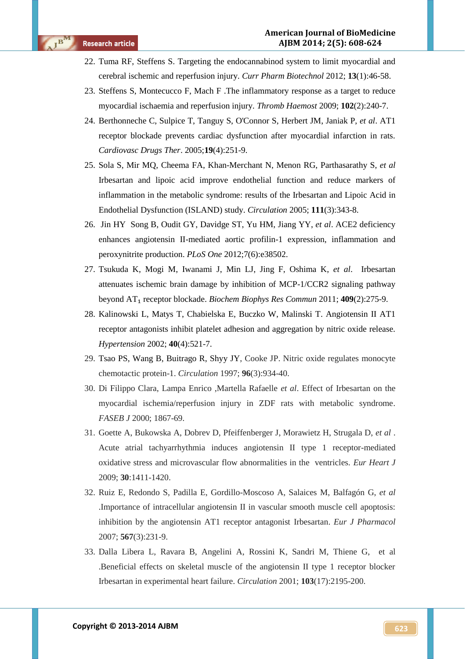- 22. [Tuma RF,](http://www.ncbi.nlm.nih.gov/pubmed?term=Tuma%20RF%5BAuthor%5D&cauthor=true&cauthor_uid=21470162) [Steffens S.](http://www.ncbi.nlm.nih.gov/pubmed?term=Steffens%20S%5BAuthor%5D&cauthor=true&cauthor_uid=21470162) Targeting the endocannabinod system to limit myocardial and cerebral ischemic and reperfusion injury. *[Curr Pharm Biotechnol](http://www.ncbi.nlm.nih.gov/pubmed/?term=-+F.+Tuma%2C+Ronald%3B+Steffens%2C+Sabine+%2CTargeting+the+Endocannabinod+System+to+Limit+Myocardial+and+Cerebral+Ischemic+and+Reperfusion+Injury)* 2012; **13**(1):46-58.
- 23. [Steffens S,](http://www.ncbi.nlm.nih.gov/pubmed?term=Steffens%20S%5BAuthor%5D&cauthor=true&cauthor_uid=19652874) [Montecucco F,](http://www.ncbi.nlm.nih.gov/pubmed?term=Montecucco%20F%5BAuthor%5D&cauthor=true&cauthor_uid=19652874) [Mach F](http://www.ncbi.nlm.nih.gov/pubmed?term=Mach%20F%5BAuthor%5D&cauthor=true&cauthor_uid=19652874) .The inflammatory response as a target to reduce myocardial ischaemia and reperfusion injury. *[Thromb Haemost](http://www.ncbi.nlm.nih.gov/pubmed/?term=Sabine+Steffens*%3B+Fabrizio+Montecucco*%3B+Fran%C3%A7ois+Mach+.The+inflammatory+response+as+a+target+to+reduce+myocardial+ischaemia+and+reperfusion+injury)* 2009; **102**(2):240-7.
- 24. [Berthonneche C,](http://www.ncbi.nlm.nih.gov/pubmed?term=Berthonneche%20C%5BAuthor%5D&cauthor=true&cauthor_uid=16193242) [Sulpice T,](http://www.ncbi.nlm.nih.gov/pubmed?term=Sulpice%20T%5BAuthor%5D&cauthor=true&cauthor_uid=16193242) [Tanguy S,](http://www.ncbi.nlm.nih.gov/pubmed?term=Tanguy%20S%5BAuthor%5D&cauthor=true&cauthor_uid=16193242) [O'Connor S,](http://www.ncbi.nlm.nih.gov/pubmed?term=O%27Connor%20S%5BAuthor%5D&cauthor=true&cauthor_uid=16193242) [Herbert JM,](http://www.ncbi.nlm.nih.gov/pubmed?term=Herbert%20JM%5BAuthor%5D&cauthor=true&cauthor_uid=16193242) [Janiak P,](http://www.ncbi.nlm.nih.gov/pubmed?term=Janiak%20P%5BAuthor%5D&cauthor=true&cauthor_uid=16193242) *et al*. AT1 receptor blockade prevents cardiac dysfunction after myocardial infarction in rats. *[Cardiovasc Drugs Ther](http://www.ncbi.nlm.nih.gov/pubmed/16193242)*. 2005;**19**(4):251-9.
- 25. [Sola S,](http://www.ncbi.nlm.nih.gov/pubmed?term=Sola%20S%5BAuthor%5D&cauthor=true&cauthor_uid=15655130) [Mir MQ,](http://www.ncbi.nlm.nih.gov/pubmed?term=Mir%20MQ%5BAuthor%5D&cauthor=true&cauthor_uid=15655130) [Cheema FA,](http://www.ncbi.nlm.nih.gov/pubmed?term=Cheema%20FA%5BAuthor%5D&cauthor=true&cauthor_uid=15655130) [Khan-Merchant N,](http://www.ncbi.nlm.nih.gov/pubmed?term=Khan-Merchant%20N%5BAuthor%5D&cauthor=true&cauthor_uid=15655130) [Menon RG,](http://www.ncbi.nlm.nih.gov/pubmed?term=Menon%20RG%5BAuthor%5D&cauthor=true&cauthor_uid=15655130) [Parthasarathy S,](http://www.ncbi.nlm.nih.gov/pubmed?term=Parthasarathy%20S%5BAuthor%5D&cauthor=true&cauthor_uid=15655130) *et al* Irbesartan and lipoic acid improve endothelial function and reduce markers of inflammation in the metabolic syndrome: results of the Irbesartan and Lipoic Acid in Endothelial Dysfunction (ISLAND) study. *[Circulation](http://www.ncbi.nlm.nih.gov/pubmed?term=Irbesartan%20and%20Lipoic%20Acid%20Improve%20Endothelial%20Function%20and%20Reduce%20Markers%20of%20Inflammation%20in%20the%20Metabolic%20Syndrome)* 2005; **111**(3):343-8.
- 26. [Jin HY](http://www.ncbi.nlm.nih.gov/pubmed?term=Jin%20HY%5BAuthor%5D&cauthor=true&cauthor_uid=22693641) [Song B,](http://www.ncbi.nlm.nih.gov/pubmed?term=Song%20B%5BAuthor%5D&cauthor=true&cauthor_uid=22693641) [Oudit GY,](http://www.ncbi.nlm.nih.gov/pubmed?term=Oudit%20GY%5BAuthor%5D&cauthor=true&cauthor_uid=22693641) [Davidge ST,](http://www.ncbi.nlm.nih.gov/pubmed?term=Davidge%20ST%5BAuthor%5D&cauthor=true&cauthor_uid=22693641) [Yu HM,](http://www.ncbi.nlm.nih.gov/pubmed?term=Yu%20HM%5BAuthor%5D&cauthor=true&cauthor_uid=22693641) [Jiang YY,](http://www.ncbi.nlm.nih.gov/pubmed?term=Jiang%20YY%5BAuthor%5D&cauthor=true&cauthor_uid=22693641) *et al*. ACE2 deficiency enhances angiotensin II-mediated aortic profilin-1 expression, inflammation and peroxynitrite production. *[PLoS One](http://www.ncbi.nlm.nih.gov/pubmed/?term=Jin+HY++Song+B%2C+Oudit+GY%2C+Davidge+ST%2C+Yu+HM%2C+Jiang+YY%2Cet+al.+ACE2+deficiency+enhances+angiotensin+II-mediated+aortic+profilin-1+expression%2C+inflammation+and+peroxynitrite+production)* 2012;7(6):e38502.
- 27. [Tsukuda K,](http://www.ncbi.nlm.nih.gov/pubmed?term=Tsukuda%20K%5BAuthor%5D&cauthor=true&cauthor_uid=21575596) [Mogi M,](http://www.ncbi.nlm.nih.gov/pubmed?term=Mogi%20M%5BAuthor%5D&cauthor=true&cauthor_uid=21575596) [Iwanami J,](http://www.ncbi.nlm.nih.gov/pubmed?term=Iwanami%20J%5BAuthor%5D&cauthor=true&cauthor_uid=21575596) [Min LJ,](http://www.ncbi.nlm.nih.gov/pubmed?term=Min%20LJ%5BAuthor%5D&cauthor=true&cauthor_uid=21575596) [Jing F,](http://www.ncbi.nlm.nih.gov/pubmed?term=Jing%20F%5BAuthor%5D&cauthor=true&cauthor_uid=21575596) [Oshima K,](http://www.ncbi.nlm.nih.gov/pubmed?term=Oshima%20K%5BAuthor%5D&cauthor=true&cauthor_uid=21575596) *et al*. Irbesartan attenuates ischemic brain damage by inhibition of MCP-1/CCR2 signaling pathway beyond AT₁ receptor blockade. *[Biochem Biophys Res Commun](http://www.ncbi.nlm.nih.gov/pubmed/21575596)* 2011; **409**(2):275-9.
- 28. [Kalinowski L,](http://www.ncbi.nlm.nih.gov/pubmed?term=Kalinowski%20L%5BAuthor%5D&cauthor=true&cauthor_uid=12364357) [Matys T,](http://www.ncbi.nlm.nih.gov/pubmed?term=Matys%20T%5BAuthor%5D&cauthor=true&cauthor_uid=12364357) [Chabielska E,](http://www.ncbi.nlm.nih.gov/pubmed?term=Chabielska%20E%5BAuthor%5D&cauthor=true&cauthor_uid=12364357) [Buczko W,](http://www.ncbi.nlm.nih.gov/pubmed?term=Buczko%20W%5BAuthor%5D&cauthor=true&cauthor_uid=12364357) [Malinski T.](http://www.ncbi.nlm.nih.gov/pubmed?term=Malinski%20T%5BAuthor%5D&cauthor=true&cauthor_uid=12364357) Angiotensin II AT1 receptor antagonists inhibit platelet adhesion and aggregation by nitric oxide release. *[Hypertension](http://www.ncbi.nlm.nih.gov/pubmed?term=Angiotensin%20II%20AT1%20receptor%20antagonists%20inhibit%20platelet%20adhesion%20and%20aggregation%20by%20nitric%20oxide%20release)* 2002; **40**(4):521-7.
- 29. [Tsao PS,](http://www.ncbi.nlm.nih.gov/pubmed?term=Tsao%20PS%5BAuthor%5D&cauthor=true&cauthor_uid=9264504) [Wang B,](http://www.ncbi.nlm.nih.gov/pubmed?term=Wang%20B%5BAuthor%5D&cauthor=true&cauthor_uid=9264504) [Buitrago R,](http://www.ncbi.nlm.nih.gov/pubmed?term=Buitrago%20R%5BAuthor%5D&cauthor=true&cauthor_uid=9264504) [Shyy JY,](http://www.ncbi.nlm.nih.gov/pubmed?term=Shyy%20JY%5BAuthor%5D&cauthor=true&cauthor_uid=9264504) [Cooke JP.](http://www.ncbi.nlm.nih.gov/pubmed?term=Cooke%20JP%5BAuthor%5D&cauthor=true&cauthor_uid=9264504) Nitric oxide regulates monocyte chemotactic protein-1. *[Circulation](http://www.ncbi.nlm.nih.gov/pubmed?term=Nitric%20oxide%20regulates%20monocyte%20chemotactic%20protein-1Tsao%20PS%2C%20Wang%20B%2C%20Buitrago%20R%2C%20Shyy%20JY%2C%20and%20Cooke%20JP)* 1997; **96**(3):934-40.
- 30. Di Filippo Clara, Lampa Enrico ,Martella Rafaelle *et al*. Effect of Irbesartan on the myocardial ischemia/reperfusion injury in ZDF rats with metabolic syndrome. *FASEB J* 2000; 1867-69.
- 31. Goette A, Bukowska A, Dobrev D, Pfeiffenberger J, Morawietz H, Strugala D, *et al* . Acute atrial tachyarrhythmia induces angiotensin II type 1 receptor-mediated oxidative stress and microvascular flow abnormalities in the ventricles. *Eur Heart J* 2009; **30**:1411-1420.
- 32. [Ruiz E,](http://www.ncbi.nlm.nih.gov/pubmed?term=Ruiz%20E%5BAuthor%5D&cauthor=true&cauthor_uid=17509562) [Redondo S,](http://www.ncbi.nlm.nih.gov/pubmed?term=Redondo%20S%5BAuthor%5D&cauthor=true&cauthor_uid=17509562) [Padilla E,](http://www.ncbi.nlm.nih.gov/pubmed?term=Padilla%20E%5BAuthor%5D&cauthor=true&cauthor_uid=17509562) [Gordillo-Moscoso A,](http://www.ncbi.nlm.nih.gov/pubmed?term=Gordillo-Moscoso%20A%5BAuthor%5D&cauthor=true&cauthor_uid=17509562) [Salaices M,](http://www.ncbi.nlm.nih.gov/pubmed?term=Salaices%20M%5BAuthor%5D&cauthor=true&cauthor_uid=17509562) [Balfagón G,](http://www.ncbi.nlm.nih.gov/pubmed?term=Balfag%C3%B3n%20G%5BAuthor%5D&cauthor=true&cauthor_uid=17509562) *et al* .Importance of intracellular angiotensin II in vascular smooth muscle cell apoptosis: inhibition by the angiotensin AT1 receptor antagonist Irbesartan. *[Eur J Pharmacol](http://www.ncbi.nlm.nih.gov/pubmed/17509562)* 2007; **567**(3):231-9.
- 33. [Dalla Libera L,](http://www.ncbi.nlm.nih.gov/pubmed?term=Dalla%20Libera%20L%5BAuthor%5D&cauthor=true&cauthor_uid=11331262) [Ravara B,](http://www.ncbi.nlm.nih.gov/pubmed?term=Ravara%20B%5BAuthor%5D&cauthor=true&cauthor_uid=11331262) [Angelini A,](http://www.ncbi.nlm.nih.gov/pubmed?term=Angelini%20A%5BAuthor%5D&cauthor=true&cauthor_uid=11331262) [Rossini K,](http://www.ncbi.nlm.nih.gov/pubmed?term=Rossini%20K%5BAuthor%5D&cauthor=true&cauthor_uid=11331262) [Sandri M,](http://www.ncbi.nlm.nih.gov/pubmed?term=Sandri%20M%5BAuthor%5D&cauthor=true&cauthor_uid=11331262) [Thiene G,](http://www.ncbi.nlm.nih.gov/pubmed?term=Thiene%20G%5BAuthor%5D&cauthor=true&cauthor_uid=11331262) et al .Beneficial effects on skeletal muscle of the angiotensin II type 1 receptor blocker Irbesartan in experimental heart failure. *[Circulation](http://www.ncbi.nlm.nih.gov/pubmed?term=Beneficial%20effects%20on%20skeletal%20muscle%20of%20the%20angiotensin%20II%20type%201%20receptor%20blocker%20irbesartan%20in%20experimental%20heart%20failure)* 2001; **103**(17):2195-200.